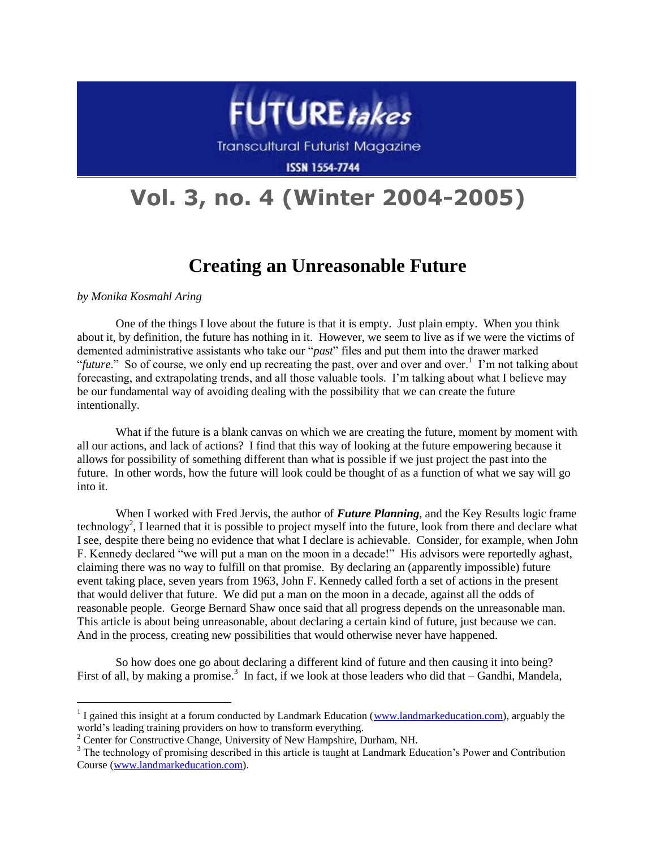

**Transcultural Futurist Magazine** 

**ISSN 1554-7744** 

# **Vol. 3, no. 4 (Winter 2004-2005)**

# **Creating an Unreasonable Future**

*by Monika Kosmahl Aring* 

l

One of the things I love about the future is that it is empty. Just plain empty. When you think about it, by definition, the future has nothing in it. However, we seem to live as if we were the victims of demented administrative assistants who take our "*past*" files and put them into the drawer marked "*future*." So of course, we only end up recreating the past, over and over and over.<sup>1</sup> I'm not talking about forecasting, and extrapolating trends, and all those valuable tools. I'm talking about what I believe may be our fundamental way of avoiding dealing with the possibility that we can create the future intentionally.

What if the future is a blank canvas on which we are creating the future, moment by moment with all our actions, and lack of actions? I find that this way of looking at the future empowering because it allows for possibility of something different than what is possible if we just project the past into the future. In other words, how the future will look could be thought of as a function of what we say will go into it.

When I worked with Fred Jervis, the author of *Future Planning*, and the Key Results logic frame technology<sup>2</sup>, I learned that it is possible to project myself into the future, look from there and declare what I see, despite there being no evidence that what I declare is achievable. Consider, for example, when John F. Kennedy declared "we will put a man on the moon in a decade!" His advisors were reportedly aghast, claiming there was no way to fulfill on that promise. By declaring an (apparently impossible) future event taking place, seven years from 1963, John F. Kennedy called forth a set of actions in the present that would deliver that future. We did put a man on the moon in a decade, against all the odds of reasonable people. George Bernard Shaw once said that all progress depends on the unreasonable man. This article is about being unreasonable, about declaring a certain kind of future, just because we can. And in the process, creating new possibilities that would otherwise never have happened.

So how does one go about declaring a different kind of future and then causing it into being? First of all, by making a promise.<sup>3</sup> In fact, if we look at those leaders who did that – Gandhi, Mandela,

<sup>&</sup>lt;sup>1</sup> I gained this insight at a forum conducted by Landmark Education [\(www.landmarkeducation.com\)](http://www.landmarkeducation.com/), arguably the world's leading training providers on how to transform everything.

<sup>&</sup>lt;sup>2</sup> Center for Constructive Change, University of New Hampshire, Durham, NH.

<sup>&</sup>lt;sup>3</sup> The technology of promising described in this article is taught at Landmark Education's Power and Contribution Course [\(www.landmarkeducation.com\)](http://www.landmarkeducation.com/).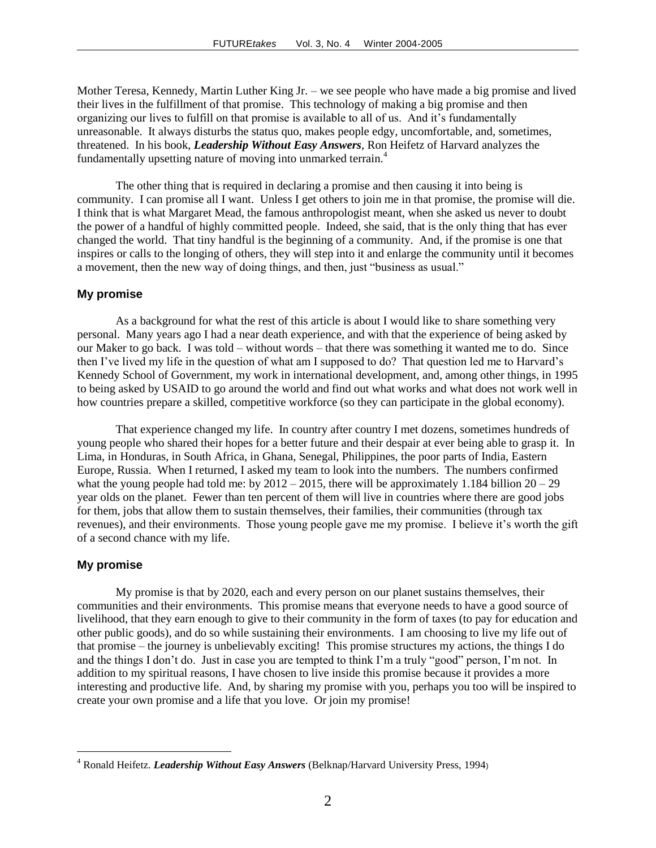Mother Teresa, Kennedy, Martin Luther King Jr. – we see people who have made a big promise and lived their lives in the fulfillment of that promise. This technology of making a big promise and then organizing our lives to fulfill on that promise is available to all of us. And it's fundamentally unreasonable. It always disturbs the status quo, makes people edgy, uncomfortable, and, sometimes, threatened. In his book, *Leadership Without Easy Answers*, Ron Heifetz of Harvard analyzes the fundamentally upsetting nature of moving into unmarked terrain.<sup>4</sup>

The other thing that is required in declaring a promise and then causing it into being is community. I can promise all I want. Unless I get others to join me in that promise, the promise will die. I think that is what Margaret Mead, the famous anthropologist meant, when she asked us never to doubt the power of a handful of highly committed people. Indeed, she said, that is the only thing that has ever changed the world. That tiny handful is the beginning of a community. And, if the promise is one that inspires or calls to the longing of others, they will step into it and enlarge the community until it becomes a movement, then the new way of doing things, and then, just "business as usual."

# **My promise**

As a background for what the rest of this article is about I would like to share something very personal. Many years ago I had a near death experience, and with that the experience of being asked by our Maker to go back. I was told – without words – that there was something it wanted me to do. Since then I've lived my life in the question of what am I supposed to do? That question led me to Harvard's Kennedy School of Government, my work in international development, and, among other things, in 1995 to being asked by USAID to go around the world and find out what works and what does not work well in how countries prepare a skilled, competitive workforce (so they can participate in the global economy).

That experience changed my life. In country after country I met dozens, sometimes hundreds of young people who shared their hopes for a better future and their despair at ever being able to grasp it. In Lima, in Honduras, in South Africa, in Ghana, Senegal, Philippines, the poor parts of India, Eastern Europe, Russia. When I returned, I asked my team to look into the numbers. The numbers confirmed what the young people had told me: by  $2012 - 2015$ , there will be approximately 1.184 billion  $20 - 29$ year olds on the planet. Fewer than ten percent of them will live in countries where there are good jobs for them, jobs that allow them to sustain themselves, their families, their communities (through tax revenues), and their environments. Those young people gave me my promise. I believe it's worth the gift of a second chance with my life.

# **My promise**

 $\overline{a}$ 

My promise is that by 2020, each and every person on our planet sustains themselves, their communities and their environments. This promise means that everyone needs to have a good source of livelihood, that they earn enough to give to their community in the form of taxes (to pay for education and other public goods), and do so while sustaining their environments. I am choosing to live my life out of that promise – the journey is unbelievably exciting! This promise structures my actions, the things I do and the things I don't do. Just in case you are tempted to think I'm a truly "good" person, I'm not. In addition to my spiritual reasons, I have chosen to live inside this promise because it provides a more interesting and productive life. And, by sharing my promise with you, perhaps you too will be inspired to create your own promise and a life that you love. Or join my promise!

<sup>4</sup> Ronald Heifetz. *Leadership Without Easy Answers* (Belknap/Harvard University Press, 1994)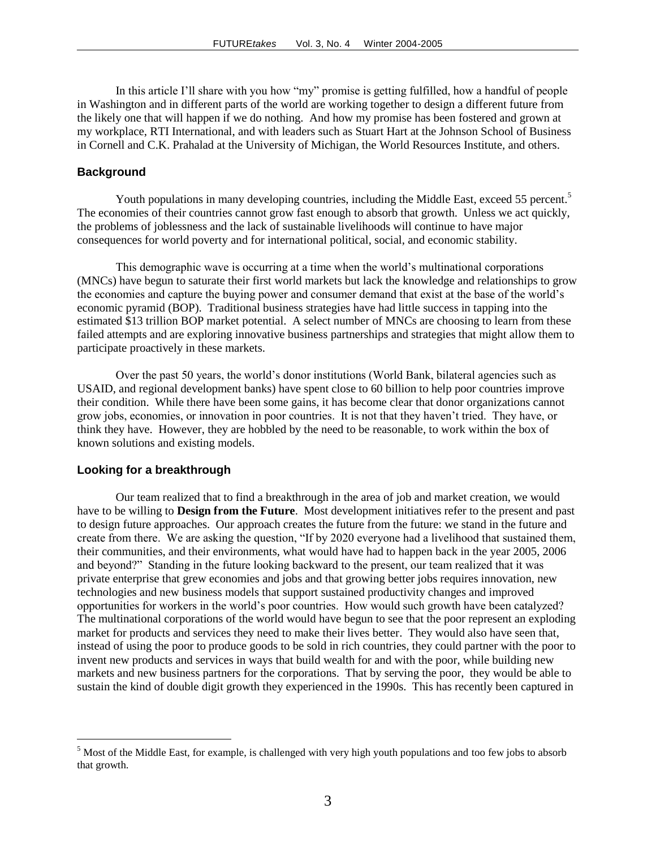In this article I'll share with you how "my" promise is getting fulfilled, how a handful of people in Washington and in different parts of the world are working together to design a different future from the likely one that will happen if we do nothing. And how my promise has been fostered and grown at my workplace, RTI International, and with leaders such as Stuart Hart at the Johnson School of Business in Cornell and C.K. Prahalad at the University of Michigan, the World Resources Institute, and others.

# **Background**

Youth populations in many developing countries, including the Middle East, exceed 55 percent.<sup>5</sup> The economies of their countries cannot grow fast enough to absorb that growth. Unless we act quickly, the problems of joblessness and the lack of sustainable livelihoods will continue to have major consequences for world poverty and for international political, social, and economic stability.

This demographic wave is occurring at a time when the world's multinational corporations (MNCs) have begun to saturate their first world markets but lack the knowledge and relationships to grow the economies and capture the buying power and consumer demand that exist at the base of the world's economic pyramid (BOP). Traditional business strategies have had little success in tapping into the estimated \$13 trillion BOP market potential. A select number of MNCs are choosing to learn from these failed attempts and are exploring innovative business partnerships and strategies that might allow them to participate proactively in these markets.

Over the past 50 years, the world's donor institutions (World Bank, bilateral agencies such as USAID, and regional development banks) have spent close to 60 billion to help poor countries improve their condition. While there have been some gains, it has become clear that donor organizations cannot grow jobs, economies, or innovation in poor countries. It is not that they haven't tried. They have, or think they have. However, they are hobbled by the need to be reasonable, to work within the box of known solutions and existing models.

#### **Looking for a breakthrough**

l

Our team realized that to find a breakthrough in the area of job and market creation, we would have to be willing to **Design from the Future**. Most development initiatives refer to the present and past to design future approaches. Our approach creates the future from the future: we stand in the future and create from there. We are asking the question, "If by 2020 everyone had a livelihood that sustained them, their communities, and their environments, what would have had to happen back in the year 2005, 2006 and beyond?" Standing in the future looking backward to the present, our team realized that it was private enterprise that grew economies and jobs and that growing better jobs requires innovation, new technologies and new business models that support sustained productivity changes and improved opportunities for workers in the world's poor countries. How would such growth have been catalyzed? The multinational corporations of the world would have begun to see that the poor represent an exploding market for products and services they need to make their lives better. They would also have seen that, instead of using the poor to produce goods to be sold in rich countries, they could partner with the poor to invent new products and services in ways that build wealth for and with the poor, while building new markets and new business partners for the corporations. That by serving the poor, they would be able to sustain the kind of double digit growth they experienced in the 1990s. This has recently been captured in

 $<sup>5</sup>$  Most of the Middle East, for example, is challenged with very high youth populations and too few jobs to absorb</sup> that growth.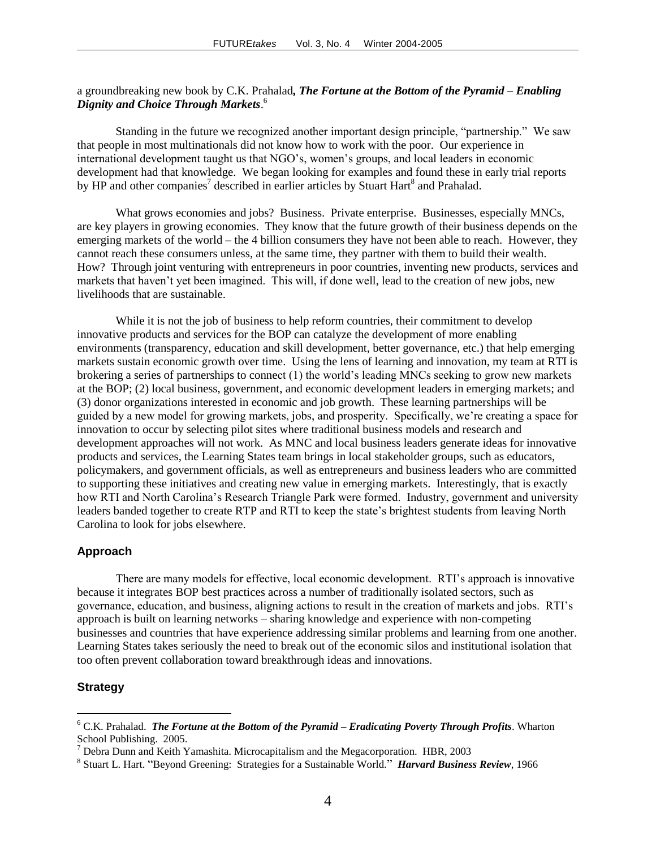# a groundbreaking new book by C.K. Prahalad*, The Fortune at the Bottom of the Pyramid – Enabling Dignity and Choice Through Markets*. 6

Standing in the future we recognized another important design principle, "partnership." We saw that people in most multinationals did not know how to work with the poor. Our experience in international development taught us that NGO's, women's groups, and local leaders in economic development had that knowledge. We began looking for examples and found these in early trial reports by HP and other companies<sup>7</sup> described in earlier articles by Stuart Hart<sup>8</sup> and Prahalad.

What grows economies and jobs? Business. Private enterprise. Businesses, especially MNCs, are key players in growing economies. They know that the future growth of their business depends on the emerging markets of the world – the 4 billion consumers they have not been able to reach. However, they cannot reach these consumers unless, at the same time, they partner with them to build their wealth. How? Through joint venturing with entrepreneurs in poor countries, inventing new products, services and markets that haven't yet been imagined. This will, if done well, lead to the creation of new jobs, new livelihoods that are sustainable.

While it is not the job of business to help reform countries, their commitment to develop innovative products and services for the BOP can catalyze the development of more enabling environments (transparency, education and skill development, better governance, etc.) that help emerging markets sustain economic growth over time. Using the lens of learning and innovation, my team at RTI is brokering a series of partnerships to connect (1) the world's leading MNCs seeking to grow new markets at the BOP; (2) local business, government, and economic development leaders in emerging markets; and (3) donor organizations interested in economic and job growth. These learning partnerships will be guided by a new model for growing markets, jobs, and prosperity. Specifically, we're creating a space for innovation to occur by selecting pilot sites where traditional business models and research and development approaches will not work. As MNC and local business leaders generate ideas for innovative products and services, the Learning States team brings in local stakeholder groups, such as educators, policymakers, and government officials, as well as entrepreneurs and business leaders who are committed to supporting these initiatives and creating new value in emerging markets. Interestingly, that is exactly how RTI and North Carolina's Research Triangle Park were formed. Industry, government and university leaders banded together to create RTP and RTI to keep the state's brightest students from leaving North Carolina to look for jobs elsewhere.

# **Approach**

There are many models for effective, local economic development. RTI's approach is innovative because it integrates BOP best practices across a number of traditionally isolated sectors, such as governance, education, and business, aligning actions to result in the creation of markets and jobs. RTI's approach is built on learning networks – sharing knowledge and experience with non-competing businesses and countries that have experience addressing similar problems and learning from one another. Learning States takes seriously the need to break out of the economic silos and institutional isolation that too often prevent collaboration toward breakthrough ideas and innovations.

## **Strategy**

 $\overline{a}$ 

<sup>6</sup> C.K. Prahalad. *The Fortune at the Bottom of the Pyramid – Eradicating Poverty Through Profits*. Wharton School Publishing. 2005.

 $7$  Debra Dunn and Keith Yamashita. Microcapitalism and the Megacorporation. HBR, 2003

<sup>8</sup> Stuart L. Hart. "Beyond Greening: Strategies for a Sustainable World." *Harvard Business Review*, 1966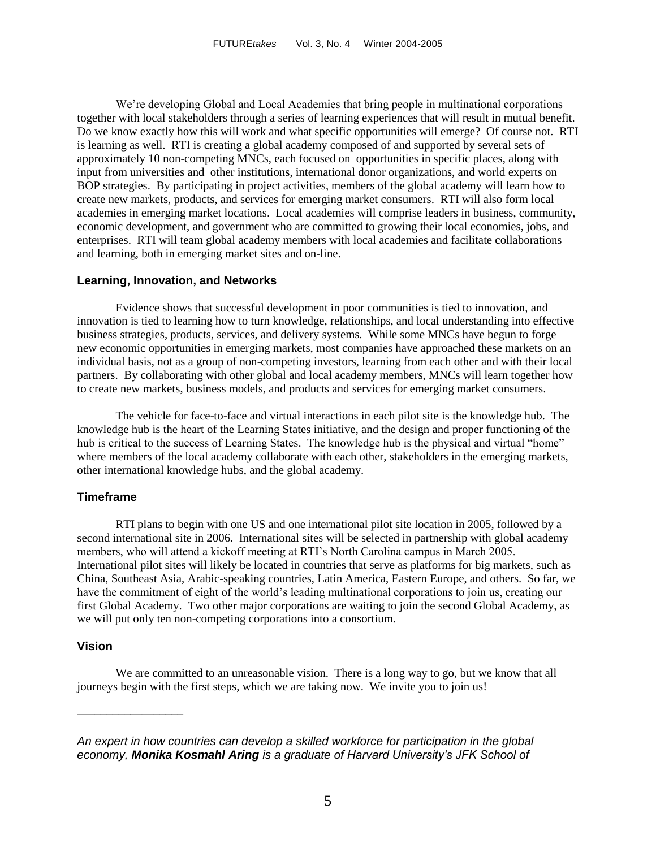We're developing Global and Local Academies that bring people in multinational corporations together with local stakeholders through a series of learning experiences that will result in mutual benefit. Do we know exactly how this will work and what specific opportunities will emerge? Of course not. RTI is learning as well. RTI is creating a global academy composed of and supported by several sets of approximately 10 non-competing MNCs, each focused on opportunities in specific places, along with input from universities and other institutions, international donor organizations, and world experts on BOP strategies. By participating in project activities, members of the global academy will learn how to create new markets, products, and services for emerging market consumers. RTI will also form local academies in emerging market locations. Local academies will comprise leaders in business, community, economic development, and government who are committed to growing their local economies, jobs, and enterprises. RTI will team global academy members with local academies and facilitate collaborations and learning, both in emerging market sites and on-line.

### **Learning, Innovation, and Networks**

Evidence shows that successful development in poor communities is tied to innovation, and innovation is tied to learning how to turn knowledge, relationships, and local understanding into effective business strategies, products, services, and delivery systems. While some MNCs have begun to forge new economic opportunities in emerging markets, most companies have approached these markets on an individual basis, not as a group of non-competing investors, learning from each other and with their local partners. By collaborating with other global and local academy members, MNCs will learn together how to create new markets, business models, and products and services for emerging market consumers.

The vehicle for face-to-face and virtual interactions in each pilot site is the knowledge hub. The knowledge hub is the heart of the Learning States initiative, and the design and proper functioning of the hub is critical to the success of Learning States. The knowledge hub is the physical and virtual "home" where members of the local academy collaborate with each other, stakeholders in the emerging markets, other international knowledge hubs, and the global academy.

### **Timeframe**

RTI plans to begin with one US and one international pilot site location in 2005, followed by a second international site in 2006. International sites will be selected in partnership with global academy members, who will attend a kickoff meeting at RTI's North Carolina campus in March 2005. International pilot sites will likely be located in countries that serve as platforms for big markets, such as China, Southeast Asia, Arabic-speaking countries, Latin America, Eastern Europe, and others. So far, we have the commitment of eight of the world's leading multinational corporations to join us, creating our first Global Academy. Two other major corporations are waiting to join the second Global Academy, as we will put only ten non-competing corporations into a consortium.

## **Vision**

––––––––––––––––––

We are committed to an unreasonable vision. There is a long way to go, but we know that all journeys begin with the first steps, which we are taking now. We invite you to join us!

*An expert in how countries can develop a skilled workforce for participation in the global economy, Monika Kosmahl Aring is a graduate of Harvard University's JFK School of*